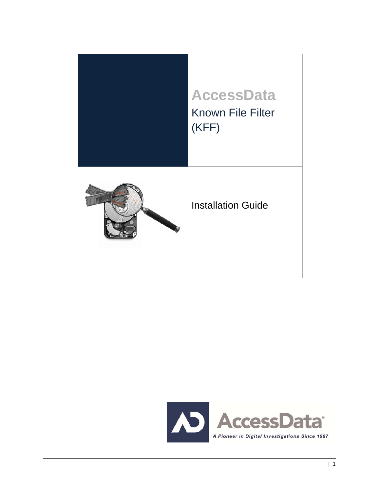

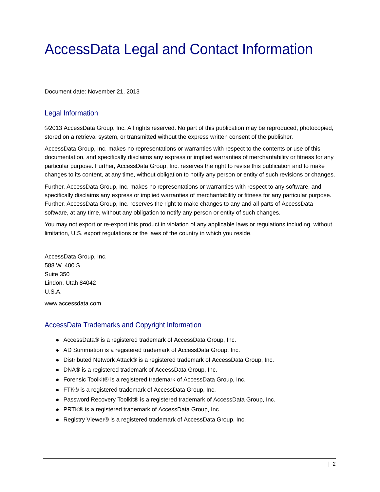# AccessData Legal and Contact Information

Document date: November 21, 2013

#### Legal Information

©2013 AccessData Group, Inc. All rights reserved. No part of this publication may be reproduced, photocopied, stored on a retrieval system, or transmitted without the express written consent of the publisher.

AccessData Group, Inc. makes no representations or warranties with respect to the contents or use of this documentation, and specifically disclaims any express or implied warranties of merchantability or fitness for any particular purpose. Further, AccessData Group, Inc. reserves the right to revise this publication and to make changes to its content, at any time, without obligation to notify any person or entity of such revisions or changes.

Further, AccessData Group, Inc. makes no representations or warranties with respect to any software, and specifically disclaims any express or implied warranties of merchantability or fitness for any particular purpose. Further, AccessData Group, Inc. reserves the right to make changes to any and all parts of AccessData software, at any time, without any obligation to notify any person or entity of such changes.

You may not export or re-export this product in violation of any applicable laws or regulations including, without limitation, U.S. export regulations or the laws of the country in which you reside.

AccessData Group, Inc. 588 W. 400 S. Suite 350 Lindon, Utah 84042 U.S.A.

www.accessdata.com

#### AccessData Trademarks and Copyright Information

- AccessData® is a registered trademark of AccessData Group, Inc.
- AD Summation is a registered trademark of AccessData Group, Inc.
- Distributed Network Attack® is a registered trademark of AccessData Group, Inc.
- DNA® is a registered trademark of AccessData Group, Inc.
- Forensic Toolkit® is a registered trademark of AccessData Group, Inc.
- FTK® is a registered trademark of AccessData Group, Inc.
- Password Recovery Toolkit® is a registered trademark of AccessData Group, Inc.
- PRTK® is a registered trademark of AccessData Group, Inc.
- Registry Viewer® is a registered trademark of AccessData Group, Inc.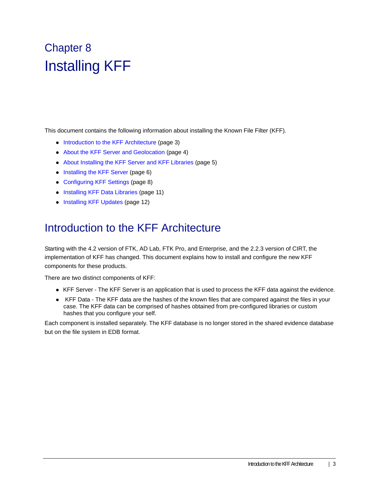# Chapter 8 Installing KFF

This document contains the following information about installing the Known File Filter (KFF).

- Introduction to the KFF Architecture (page 3)
- About the KFF Server and Geolocation (page 4)
- About Installing the KFF Server and KFF Libraries (page 5)
- Installing the KFF Server (page 6)
- Configuring KFF Settings (page 8)
- Installing KFF Data Libraries (page 11)
- Installing KFF Updates (page 12)

## Introduction to the KFF Architecture

Starting with the 4.2 version of FTK, AD Lab, FTK Pro, and Enterprise, and the 2.2.3 version of CIRT, the implementation of KFF has changed. This document explains how to install and configure the new KFF components for these products.

There are two distinct components of KFF:

- KFF Server The KFF Server is an application that is used to process the KFF data against the evidence.
- KFF Data The KFF data are the hashes of the known files that are compared against the files in your case. The KFF data can be comprised of hashes obtained from pre-configured libraries or custom hashes that you configure your self.

Each component is installed separately. The KFF database is no longer stored in the shared evidence database but on the file system in EDB format.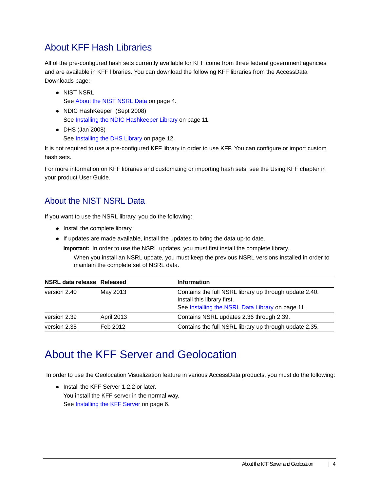### About KFF Hash Libraries

All of the pre-configured hash sets currently available for KFF come from three federal government agencies and are available in KFF libraries. You can download the following KFF libraries from the AccessData Downloads page:

- NIST NSRL See About the NIST NSRL Data on page 4.
- NDIC HashKeeper (Sept 2008) See Installing the NDIC Hashkeeper Library on page 11.
- DHS (Jan 2008) See Installing the DHS Library on page 12.

It is not required to use a pre-configured KFF library in order to use KFF. You can configure or import custom hash sets.

For more information on KFF libraries and customizing or importing hash sets, see the Using KFF chapter in your product User Guide.

### About the NIST NSRL Data

If you want to use the NSRL library, you do the following:

- Install the complete library.
- If updates are made available, install the updates to bring the data up-to date.

**Important:** In order to use the NSRL updates, you must first install the complete library.

When you install an NSRL update, you must keep the previous NSRL versions installed in order to maintain the complete set of NSRL data.

| NSRL data release Released |                   | <b>Information</b>                                                                                                                        |
|----------------------------|-------------------|-------------------------------------------------------------------------------------------------------------------------------------------|
| version 2.40               | May 2013          | Contains the full NSRL library up through update 2.40.<br>Install this library first.<br>See Installing the NSRL Data Library on page 11. |
| version 2.39               | <b>April 2013</b> | Contains NSRL updates 2.36 through 2.39.                                                                                                  |
| version 2.35               | Feb 2012          | Contains the full NSRL library up through update 2.35.                                                                                    |

## About the KFF Server and Geolocation

In order to use the Geolocation Visualization feature in various AccessData products, you must do the following:

• Install the KFF Server 1.2.2 or later. You install the KFF server in the normal way. See Installing the KFF Server on page 6.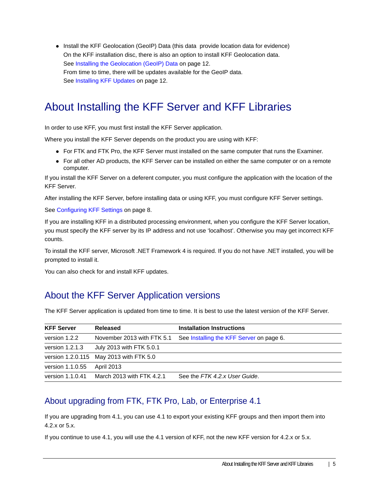• Install the KFF Geolocation (GeoIP) Data (this data provide location data for evidence) On the KFF installation disc, there is also an option to install KFF Geolocation data. See Installing the Geolocation (GeoIP) Data on page 12. From time to time, there will be updates available for the GeoIP data. See Installing KFF Updates on page 12.

# About Installing the KFF Server and KFF Libraries

In order to use KFF, you must first install the KFF Server application.

Where you install the KFF Server depends on the product you are using with KFF:

- For FTK and FTK Pro, the KFF Server must installed on the same computer that runs the Examiner.
- For all other AD products, the KFF Server can be installed on either the same computer or on a remote computer.

If you install the KFF Server on a deferent computer, you must configure the application with the location of the KFF Server.

After installing the KFF Server, before installing data or using KFF, you must configure KFF Server settings.

See Configuring KFF Settings on page 8.

If you are installing KFF in a distributed processing environment, when you configure the KFF Server location, you must specify the KFF server by its IP address and not use 'localhost'. Otherwise you may get incorrect KFF counts.

To install the KFF server, Microsoft .NET Framework 4 is required. If you do not have .NET installed, you will be prompted to install it.

You can also check for and install KFF updates.

### About the KFF Server Application versions

The KFF Server application is updated from time to time. It is best to use the latest version of the KFF Server.

| <b>KFF Server</b> | Released                                | <b>Installation Instructions</b>         |
|-------------------|-----------------------------------------|------------------------------------------|
| version 1.2.2     | November 2013 with FTK 5.1              | See Installing the KFF Server on page 6. |
| version $1.2.1.3$ | July 2013 with FTK 5.0.1                |                                          |
|                   | version 1.2.0.115 May 2013 with FTK 5.0 |                                          |
| version 1.1.0.55  | April 2013                              |                                          |
| version 1.1.0.41  | March 2013 with FTK 4.2.1               | See the FTK 4.2.x User Guide.            |

### About upgrading from FTK, FTK Pro, Lab, or Enterprise 4.1

If you are upgrading from 4.1, you can use 4.1 to export your existing KFF groups and then import them into 4.2.x or 5.x.

If you continue to use 4.1, you will use the 4.1 version of KFF, not the new KFF version for 4.2.x or 5.x.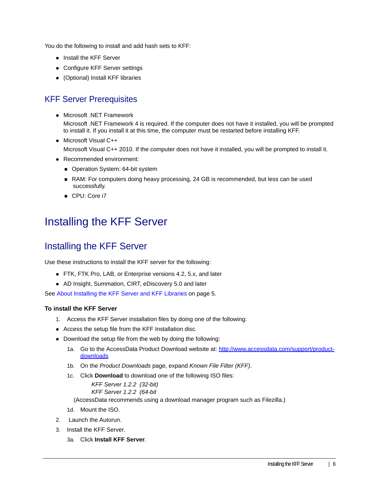You do the following to install and add hash sets to KFF:

- Install the KFF Server
- Configure KFF Server settings
- (Optional) Install KFF libraries

### KFF Server Prerequisites

• Microsoft .NET Framework

Microsoft .NET Framework 4 is required. If the computer does not have it installed, you will be prompted to install it. If you install it at this time, the computer must be restarted before installing KFF.

• Microsoft Visual C++

Microsoft Visual C++ 2010. If the computer does not have it installed, you will be prompted to install it.

- Recommended environment:
	- Operation System: 64-bit system
	- RAM: For computers doing heavy processing, 24 GB is recommended, but less can be used successfully.
	- CPU: Core i7

# Installing the KFF Server

### Installing the KFF Server

Use these instructions to install the KFF server for the following:

- FTK, FTK Pro, LAB, or Enterprise versions 4.2, 5.x, and later
- AD Insight, Summation, CIRT, eDiscovery 5.0 and later

See About Installing the KFF Server and KFF Libraries on page 5.

#### **To install the KFF Server**

- 1. Access the KFF Server installation files by doing one of the following:
- Access the setup file from the KFF Installation disc.
- Download the setup file from the web by doing the following:
	- 1a. [Go to the AccessData Product Download website at: h](http://www.accessdata.com/support/product-downloads)ttp://www.accessdata.com/support/productdownloads
	- 1b. On the *Product Downloads* page, expand *Known File Filter (KFF)*.
	- 1c. Click **Download** to download one of the following ISO files:

*KFF Server 1.2.2 (32-bit) KFF Server 1.2.2 (64-bit*

(AccessData recommends using a download manager program such as Filezilla.)

- 1d. Mount the ISO.
- 2. Launch the Autorun.
- 3. Install the KFF Server.
	- 3a. Click **Install KFF Server**.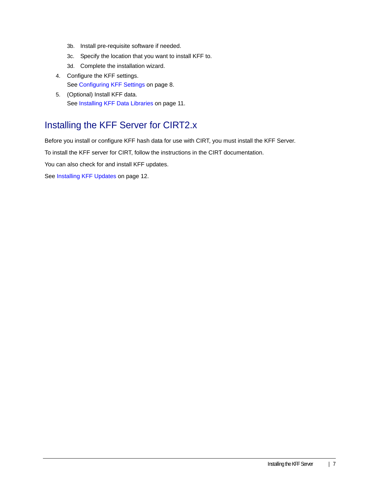- 3b. Install pre-requisite software if needed.
- 3c. Specify the location that you want to install KFF to.
- 3d. Complete the installation wizard.
- 4. Configure the KFF settings. See Configuring KFF Settings on page 8.
- 5. (Optional) Install KFF data. See Installing KFF Data Libraries on page 11.

### Installing the KFF Server for CIRT2.x

Before you install or configure KFF hash data for use with CIRT, you must install the KFF Server.

To install the KFF server for CIRT, follow the instructions in the CIRT documentation.

You can also check for and install KFF updates.

See Installing KFF Updates on page 12.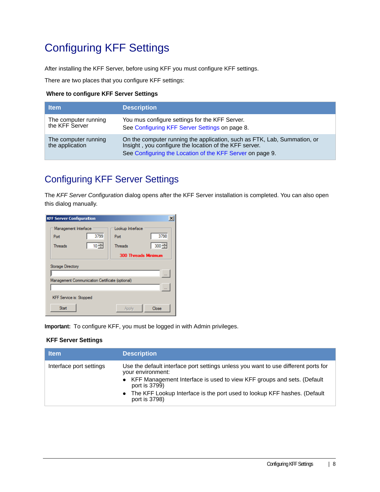# Configuring KFF Settings

After installing the KFF Server, before using KFF you must configure KFF settings.

There are two places that you configure KFF settings:

#### **Where to configure KFF Server Settings**

| <b>Item</b>                             | <b>Description</b>                                                                                                                                                                              |
|-----------------------------------------|-------------------------------------------------------------------------------------------------------------------------------------------------------------------------------------------------|
| The computer running<br>the KFF Server  | You mus configure settings for the KFF Server.<br>See Configuring KFF Server Settings on page 8.                                                                                                |
| The computer running<br>the application | On the computer running the application, such as FTK, Lab, Summation, or<br>Insight, you configure the location of the KFF server.<br>See Configuring the Location of the KFF Server on page 9. |

### Configuring KFF Server Settings

The *KFF Server Configuration* dialog opens after the KFF Server installation is completed. You can also open this dialog manually.

| <b>KFF Server Configuration</b><br>$\times$                    |                                                               |  |  |  |
|----------------------------------------------------------------|---------------------------------------------------------------|--|--|--|
| Management Interface<br>3799<br>Port<br>10 글<br><b>Threads</b> | Lookup Interface<br>3798<br>Port<br>$300 -$<br><b>Threads</b> |  |  |  |
| <b>300 Threads Minimum</b>                                     |                                                               |  |  |  |
| Storage Directory                                              |                                                               |  |  |  |
|                                                                |                                                               |  |  |  |
| Management Communication Certificate (optional)                |                                                               |  |  |  |
|                                                                |                                                               |  |  |  |
| <b>KFF Service is: Stopped</b>                                 |                                                               |  |  |  |
| Start                                                          | Close<br>Apply                                                |  |  |  |

**Important:** To configure KFF, you must be logged in with Admin privileges.

#### **KFF Server Settings**

| <b>Item</b>             | <b>Description</b>                                                                                                                                                                                   |
|-------------------------|------------------------------------------------------------------------------------------------------------------------------------------------------------------------------------------------------|
| Interface port settings | Use the default interface port settings unless you want to use different ports for<br>your environment:<br>• KFF Management Interface is used to view KFF groups and sets. (Default<br>port is 3799) |
|                         | The KFF Lookup Interface is the port used to lookup KFF hashes. (Default<br>$\bullet$<br>port is 3798)                                                                                               |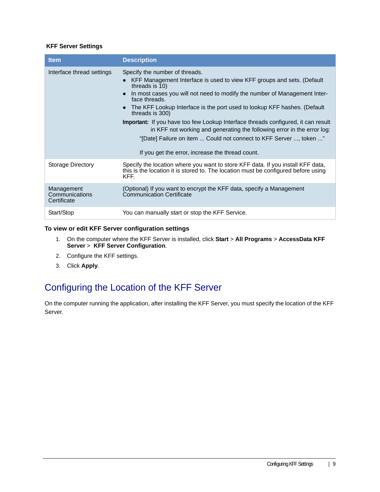#### **KFF Server Settings**

| <b>Item</b>                                 | <b>Description</b>                                                                                                                                                                                                                                                                                                                                                                                                                                                                                                                                                                                                                                 |
|---------------------------------------------|----------------------------------------------------------------------------------------------------------------------------------------------------------------------------------------------------------------------------------------------------------------------------------------------------------------------------------------------------------------------------------------------------------------------------------------------------------------------------------------------------------------------------------------------------------------------------------------------------------------------------------------------------|
| Interface thread settings                   | Specify the number of threads.<br>KFF Management Interface is used to view KFF groups and sets. (Default<br>threads is 10)<br>In most cases you will not need to modify the number of Management Inter-<br>$\bullet$<br>face threads.<br>The KFF Lookup Interface is the port used to lookup KFF hashes. (Default<br>$\bullet$<br>threads is 300)<br><b>Important:</b> If you have too few Lookup Interface threads configured, it can result<br>in KFF not working and generating the following error in the error log:<br>"[Date] Failure on item  Could not connect to KFF Server , token "<br>If you get the error, increase the thread count. |
| <b>Storage Directory</b>                    | Specify the location where you want to store KFF data. If you install KFF data,<br>this is the location it is stored to. The location must be configured before using<br>KFF.                                                                                                                                                                                                                                                                                                                                                                                                                                                                      |
| Management<br>Communications<br>Certificate | (Optional) If you want to encrypt the KFF data, specify a Management<br><b>Communication Certificate</b>                                                                                                                                                                                                                                                                                                                                                                                                                                                                                                                                           |
| Start/Stop                                  | You can manually start or stop the KFF Service.                                                                                                                                                                                                                                                                                                                                                                                                                                                                                                                                                                                                    |

#### **To view or edit KFF Server configuration settings**

- 1. On the computer where the KFF Server is installed, click **Start** > **All Programs** > **AccessData KFF Server** > **KFF Server Configuration**.
- 2. Configure the KFF settings.
- 3. Click **Apply**.

### Configuring the Location of the KFF Server

On the computer running the application, after installing the KFF Server, you must specify the location of the KFF Server.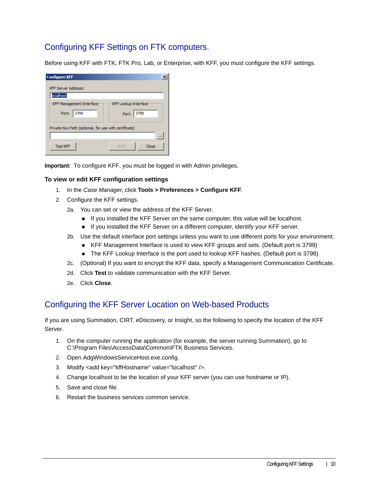### Configuring KFF Settings on FTK computers.

Before using KFF with FTK, FTK Pro, Lab, or Enterprise, with KFF, you must configure the KFF settings.

| <b>Configure KFF</b>                                  |                       |  |
|-------------------------------------------------------|-----------------------|--|
| <b>KFF Server Address:</b>                            |                       |  |
| localhost                                             |                       |  |
| KFF Management Interface                              | -KFF Lookup Interface |  |
| Port:<br>3799                                         | Port: 3798            |  |
| Private Key Path (optional, for use with certificate) |                       |  |
|                                                       |                       |  |
| <b>Test KFF</b>                                       | Close<br>Apply        |  |

**Important:** To configure KFF, you must be logged in with Admin privileges.

#### **To view or edit KFF configuration settings**

- 1. In the *Case Manager*, click **Tools > Preferences > Configure KFF**.
- 2. Configure the KFF settings.
	- 2a. You can set or view the address of the KFF Server.
		- If you installed the KFF Server on the same computer, this value will be localhost.
		- **If you installed the KFF Server on a different computer, identify your KFF server.**
	- 2b. Use the default interface port settings unless you want to use different ports for your environment:
		- KFF Management Interface is used to view KFF groups and sets. (Default port is 3799)
		- The KFF Lookup Interface is the port used to lookup KFF hashes. (Default port is 3798)
	- 2c. (Optional) If you want to encrypt the KFF data, specify a Management Communication Certificate.
	- 2d. Click **Test** to validate communication with the KFF Server.
	- 2e. Click **Close**.

### Configuring the KFF Server Location on Web-based Products

If you are using Summation, CIRT, eDiscovery, or Insight, so the following to specify the location of the KFF Server.

- 1. On the computer running the application (for example, the server running Summation), go to C:\Program Files\AccessData\Common\FTK Business Services.
- 2. Open AdgWindowsServiceHost.exe.config.
- 3. Modify <add key="kffHostname" value="localhost" />.
- 4. Change localhost to be the location of your KFF server (you can use hostname or IP).
- 5. Save and close file.
- 6. Restart the business services common service.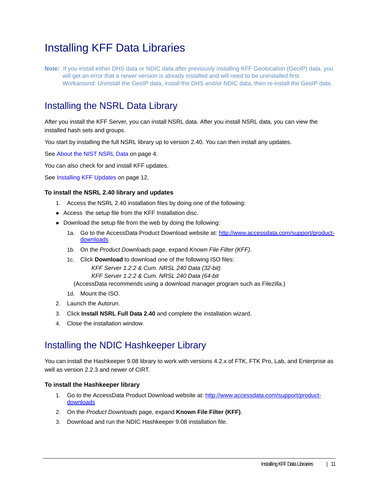# Installing KFF Data Libraries

**Note:** If you install either DHS data or NDIC data after previously installing KFF Geolocation (GeoIP) data, you will get an error that a newer version is already installed and will need to be uninstalled first. Workaround: Uninstall the GeoIP data, install the DHS and/or NDIC data, then re-install the GeoIP data.

### Installing the NSRL Data Library

After you install the KFF Server, you can install NSRL data. After you install NSRL data, you can view the installed hash sets and groups.

You start by installing the full NSRL library up to version 2.40. You can then install any updates.

See About the NIST NSRL Data on page 4.

You can also check for and install KFF updates.

See Installing KFF Updates on page 12.

#### **To install the NSRL 2.40 library and updates**

- 1. Access the NSRL 2.40 installation files by doing one of the following:
- Access the setup file from the KFF Installation disc.
- Download the setup file from the web by doing the following:
	- 1a. [Go to the AccessData Product Download website at: h](http://www.accessdata.com/support/product-downloads)ttp://www.accessdata.com/support/product**downloads**
	- 1b. On the *Product Downloads* page, expand *Known File Filter (KFF)*.
	- 1c. Click **Download** to download one of the following ISO files: *KFF Server 1.2.2 & Cum. NRSL 240 Data (32-bit)*

*KFF Server 1.2.2 & Cum. NRSL 240 Data (64-bit*

(AccessData recommends using a download manager program such as Filezilla.)

- 1d. Mount the ISO.
- 2. Launch the Autorun.
- 3. Click **Install NSRL Full Data 2.40** and complete the installation wizard.
- 4. Close the installation window.

### Installing the NDIC Hashkeeper Library

You can install the Hashkeeper 9.08 library to work with versions 4.2.x of FTK, FTK Pro, Lab, and Enterprise as well as version 2.2.3 and newer of CIRT.

#### **To install the Hashkeeper library**

- 1. [Go to the AccessData Product Download website at:](http://www.accessdata.com/support/product-downloads) http://www.accessdata.com/support/productdownloads
- 2. On the *Product Downloads* page, expand **Known File Filter (KFF)**.
- 3. Download and run the NDIC Hashkeeper 9.08 installation file.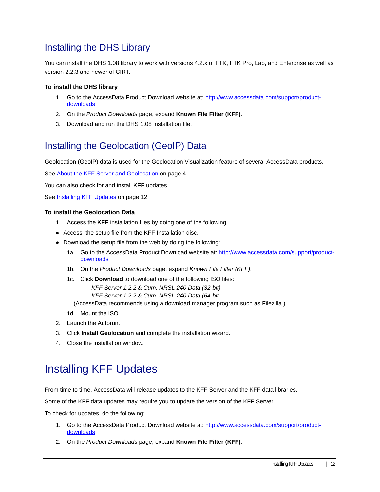### Installing the DHS Library

You can install the DHS 1.08 library to work with versions 4.2.x of FTK, FTK Pro, Lab, and Enterprise as well as version 2.2.3 and newer of CIRT.

#### **To install the DHS library**

- 1. [Go to the AccessData Product Download website at:](http://www.accessdata.com/support/product-downloads) http://www.accessdata.com/support/productdownloads
- 2. On the *Product Downloads* page, expand **Known File Filter (KFF)**.
- 3. Download and run the DHS 1.08 installation file.

### Installing the Geolocation (GeoIP) Data

Geolocation (GeoIP) data is used for the Geolocation Visualization feature of several AccessData products.

See About the KFF Server and Geolocation on page 4.

You can also check for and install KFF updates.

See Installing KFF Updates on page 12.

#### **To install the Geolocation Data**

- 1. Access the KFF installation files by doing one of the following:
- Access the setup file from the KFF Installation disc.
- Download the setup file from the web by doing the following:
	- 1a. [Go to the AccessData Product Download website at: h](http://www.accessdata.com/support/product-downloads)ttp://www.accessdata.com/support/productdownloads
	- 1b. On the *Product Downloads* page, expand *Known File Filter (KFF)*.
	- 1c. Click **Download** to download one of the following ISO files:

*KFF Server 1.2.2 & Cum. NRSL 240 Data (32-bit)*

*KFF Server 1.2.2 & Cum. NRSL 240 Data (64-bit*

(AccessData recommends using a download manager program such as Filezilla.)

- 1d. Mount the ISO.
- 2. Launch the Autorun.
- 3. Click **Install Geolocation** and complete the installation wizard.
- 4. Close the installation window.

# Installing KFF Updates

From time to time, AccessData will release updates to the KFF Server and the KFF data libraries.

Some of the KFF data updates may require you to update the version of the KFF Server.

To check for updates, do the following:

- 1. [Go to the AccessData Product Download website at:](http://www.accessdata.com/support/product-downloads) http://www.accessdata.com/support/productdownloads
- 2. On the *Product Downloads* page, expand **Known File Filter (KFF)**.